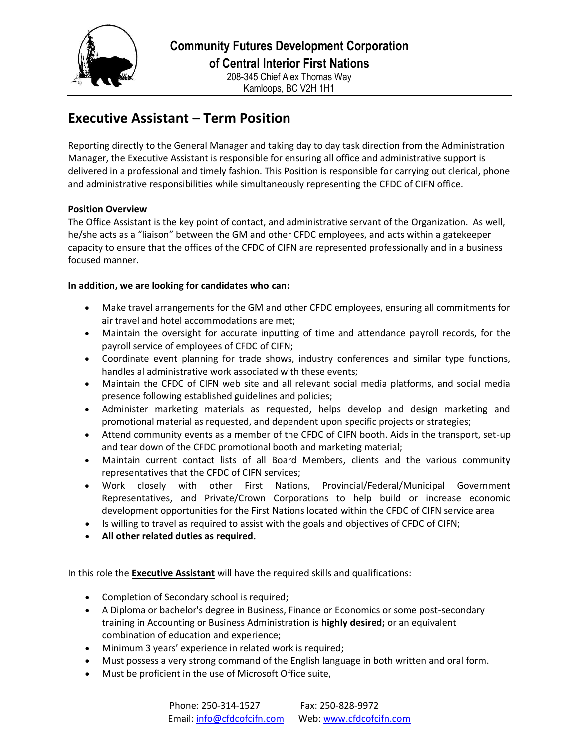

## **Executive Assistant – Term Position**

Reporting directly to the General Manager and taking day to day task direction from the Administration Manager, the Executive Assistant is responsible for ensuring all office and administrative support is delivered in a professional and timely fashion. This Position is responsible for carrying out clerical, phone and administrative responsibilities while simultaneously representing the CFDC of CIFN office.

## **Position Overview**

The Office Assistant is the key point of contact, and administrative servant of the Organization. As well, he/she acts as a "liaison" between the GM and other CFDC employees, and acts within a gatekeeper capacity to ensure that the offices of the CFDC of CIFN are represented professionally and in a business focused manner.

## **In addition, we are looking for candidates who can:**

- Make travel arrangements for the GM and other CFDC employees, ensuring all commitments for air travel and hotel accommodations are met;
- Maintain the oversight for accurate inputting of time and attendance payroll records, for the payroll service of employees of CFDC of CIFN;
- Coordinate event planning for trade shows, industry conferences and similar type functions, handles al administrative work associated with these events;
- Maintain the CFDC of CIFN web site and all relevant social media platforms, and social media presence following established guidelines and policies;
- Administer marketing materials as requested, helps develop and design marketing and promotional material as requested, and dependent upon specific projects or strategies;
- Attend community events as a member of the CFDC of CIFN booth. Aids in the transport, set-up and tear down of the CFDC promotional booth and marketing material;
- Maintain current contact lists of all Board Members, clients and the various community representatives that the CFDC of CIFN services;
- Work closely with other First Nations, Provincial/Federal/Municipal Government Representatives, and Private/Crown Corporations to help build or increase economic development opportunities for the First Nations located within the CFDC of CIFN service area
- Is willing to travel as required to assist with the goals and objectives of CFDC of CIFN;
- **All other related duties as required.**

In this role the **Executive Assistant** will have the required skills and qualifications:

- Completion of Secondary school is required;
- A Diploma or bachelor's degree in Business, Finance or Economics or some post-secondary training in Accounting or Business Administration is **highly desired;** or an equivalent combination of education and experience;
- Minimum 3 years' experience in related work is required;
- Must possess a very strong command of the English language in both written and oral form.
- Must be proficient in the use of Microsoft Office suite,